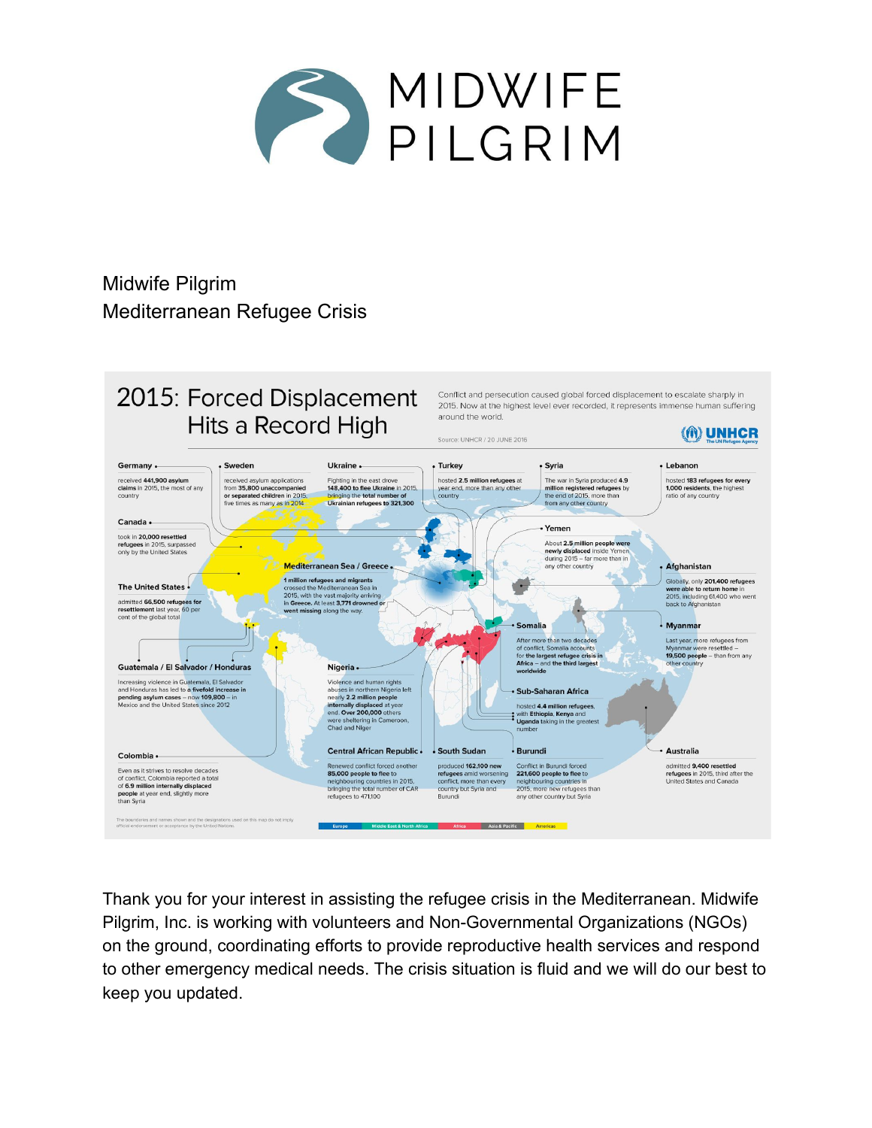

Midwife Pilgrim Mediterranean Refugee Crisis



Thank you for your interest in assisting the refugee crisis in the Mediterranean. Midwife Pilgrim, Inc. is working with volunteers and Non-Governmental Organizations (NGOs) on the ground, coordinating efforts to provide reproductive health services and respond to other emergency medical needs. The crisis situation is fluid and we will do our best to keep you updated.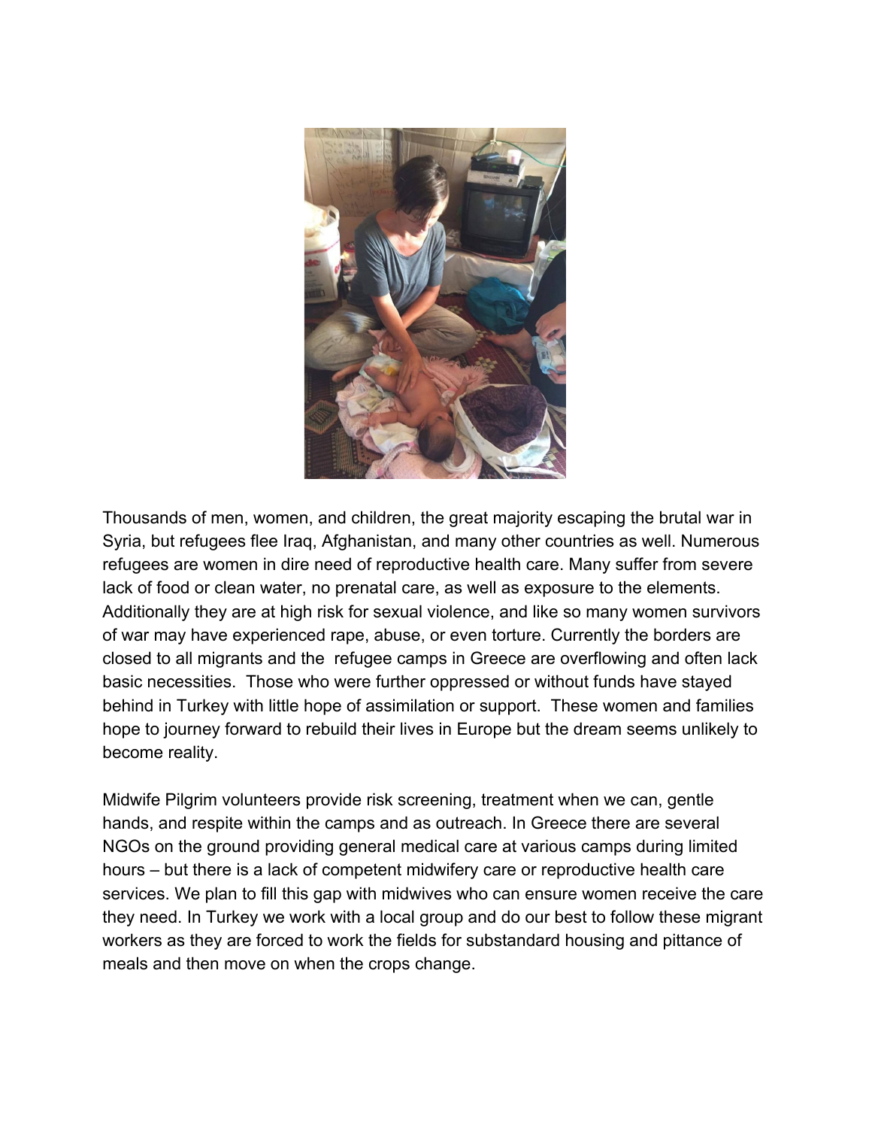

Thousands of men, women, and children, the great majority escaping the brutal war in Syria, but refugees flee Iraq, Afghanistan, and many other countries as well. Numerous refugees are women in dire need of reproductive health care. Many suffer from severe lack of food or clean water, no prenatal care, as well as exposure to the elements. Additionally they are at high risk for sexual violence, and like so many women survivors of war may have experienced rape, abuse, or even torture. Currently the borders are closed to all migrants and the refugee camps in Greece are overflowing and often lack basic necessities. Those who were further oppressed or without funds have stayed behind in Turkey with little hope of assimilation or support. These women and families hope to journey forward to rebuild their lives in Europe but the dream seems unlikely to become reality.

Midwife Pilgrim volunteers provide risk screening, treatment when we can, gentle hands, and respite within the camps and as outreach. In Greece there are several NGOs on the ground providing general medical care at various camps during limited hours – but there is a lack of competent midwifery care or reproductive health care services. We plan to fill this gap with midwives who can ensure women receive the care they need. In Turkey we work with a local group and do our best to follow these migrant workers as they are forced to work the fields for substandard housing and pittance of meals and then move on when the crops change.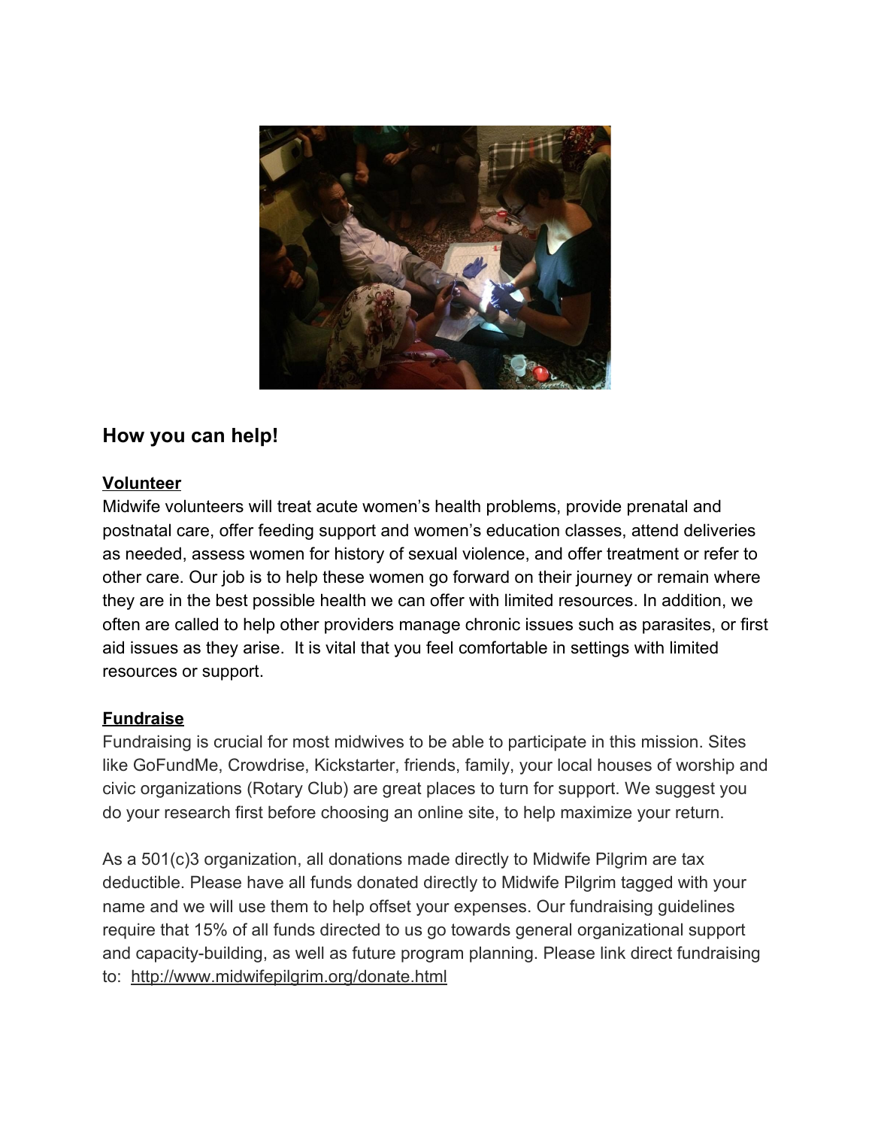

# **How you can help!**

#### **Volunteer**

Midwife volunteers will treat acute women's health problems, provide prenatal and postnatal care, offer feeding support and women's education classes, attend deliveries as needed, assess women for history of sexual violence, and offer treatment or refer to other care. Our job is to help these women go forward on their journey or remain where they are in the best possible health we can offer with limited resources. In addition, we often are called to help other providers manage chronic issues such as parasites, or first aid issues as they arise. It is vital that you feel comfortable in settings with limited resources or support.

#### **Fundraise**

Fundraising is crucial for most midwives to be able to participate in this mission. Sites like GoFundMe, Crowdrise, Kickstarter, friends, family, your local houses of worship and civic organizations (Rotary Club) are great places to turn for support. We suggest you do your research first before choosing an online site, to help maximize your return.

As a 501(c)3 organization, all donations made directly to Midwife Pilgrim are tax deductible. Please have all funds donated directly to Midwife Pilgrim tagged with your name and we will use them to help offset your expenses. Our fundraising guidelines require that 15% of all funds directed to us go towards general organizational support and capacity-building, as well as future program planning. Please link direct fundraising to: <http://www.midwifepilgrim.org/donate.html>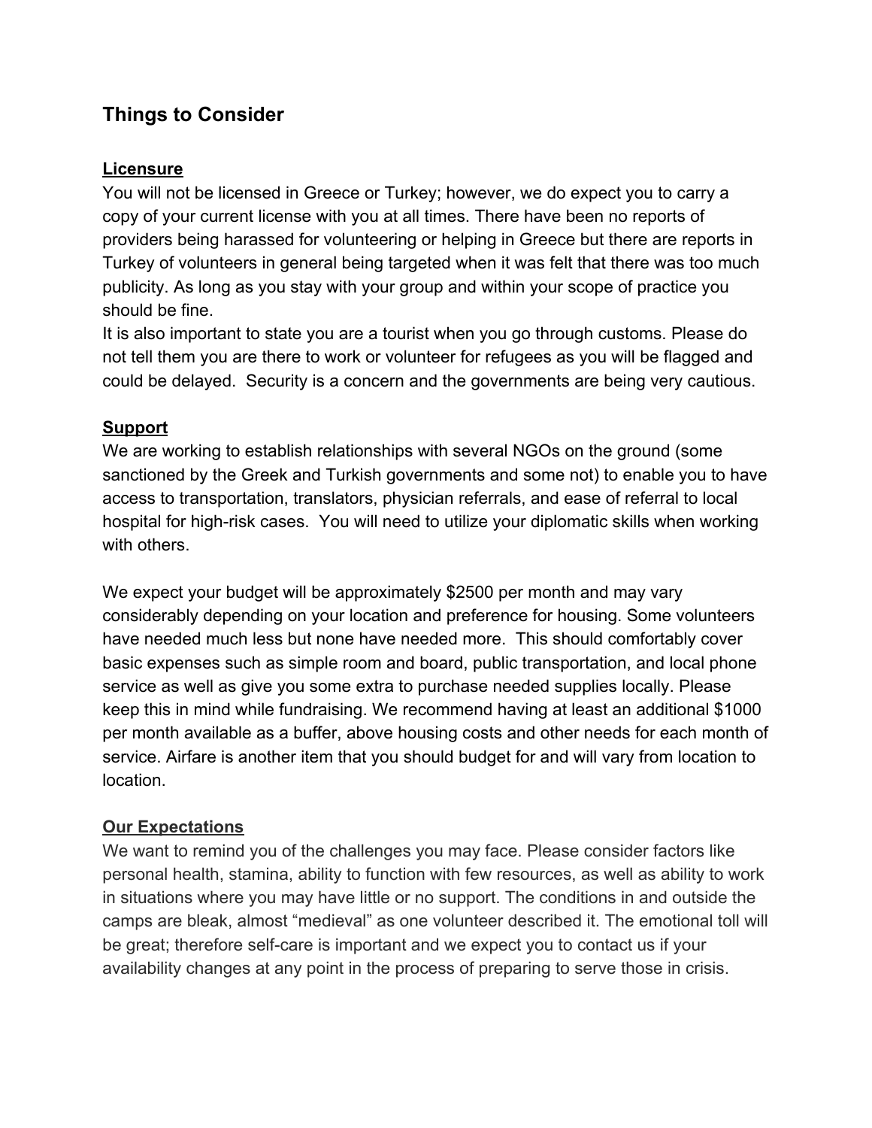# **Things to Consider**

### **Licensure**

You will not be licensed in Greece or Turkey; however, we do expect you to carry a copy of your current license with you at all times. There have been no reports of providers being harassed for volunteering or helping in Greece but there are reports in Turkey of volunteers in general being targeted when it was felt that there was too much publicity. As long as you stay with your group and within your scope of practice you should be fine.

It is also important to state you are a tourist when you go through customs. Please do not tell them you are there to work or volunteer for refugees as you will be flagged and could be delayed. Security is a concern and the governments are being very cautious.

## **Support**

We are working to establish relationships with several NGOs on the ground (some sanctioned by the Greek and Turkish governments and some not) to enable you to have access to transportation, translators, physician referrals, and ease of referral to local hospital for high-risk cases. You will need to utilize your diplomatic skills when working with others.

We expect your budget will be approximately \$2500 per month and may vary considerably depending on your location and preference for housing. Some volunteers have needed much less but none have needed more. This should comfortably cover basic expenses such as simple room and board, public transportation, and local phone service as well as give you some extra to purchase needed supplies locally. Please keep this in mind while fundraising. We recommend having at least an additional \$1000 per month available as a buffer, above housing costs and other needs for each month of service. Airfare is another item that you should budget for and will vary from location to location.

## **Our Expectations**

We want to remind you of the challenges you may face. Please consider factors like personal health, stamina, ability to function with few resources, as well as ability to work in situations where you may have little or no support. The conditions in and outside the camps are bleak, almost "medieval" as one volunteer described it. The emotional toll will be great; therefore self-care is important and we expect you to contact us if your availability changes at any point in the process of preparing to serve those in crisis.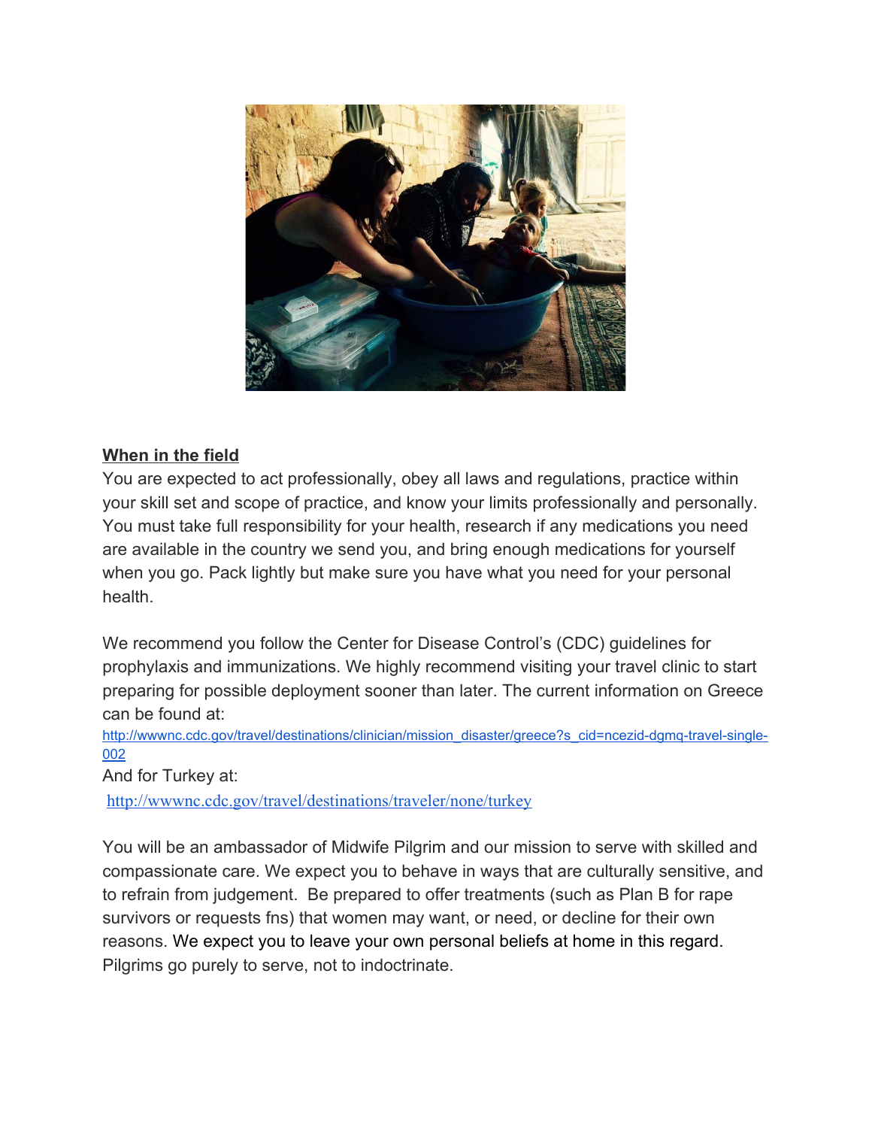

### **When in the field**

You are expected to act professionally, obey all laws and regulations, practice within your skill set and scope of practice, and know your limits professionally and personally. You must take full responsibility for your health, research if any medications you need are available in the country we send you, and bring enough medications for yourself when you go. Pack lightly but make sure you have what you need for your personal health.

We recommend you follow the Center for Disease Control's (CDC) guidelines for prophylaxis and immunizations. We highly recommend visiting your travel clinic to start preparing for possible deployment sooner than later. The current information on Greece can be found at:

[http://wwwnc.cdc.gov/travel/destinations/clinician/mission\\_disaster/greece?s\\_cid=ncezid-dgmq-travel-single-](http://wwwnc.cdc.gov/travel/destinations/clinician/mission_disaster/greece?s_cid=ncezid-dgmq-travel-single-002)[002](http://wwwnc.cdc.gov/travel/destinations/clinician/mission_disaster/greece?s_cid=ncezid-dgmq-travel-single-002)

And for Turkey at:

<http://wwwnc.cdc.gov/travel/destinations/traveler/none/turkey>

You will be an ambassador of Midwife Pilgrim and our mission to serve with skilled and compassionate care. We expect you to behave in ways that are culturally sensitive, and to refrain from judgement. Be prepared to offer treatments (such as Plan B for rape survivors or requests fns) that women may want, or need, or decline for their own reasons. We expect you to leave your own personal beliefs at home in this regard. Pilgrims go purely to serve, not to indoctrinate.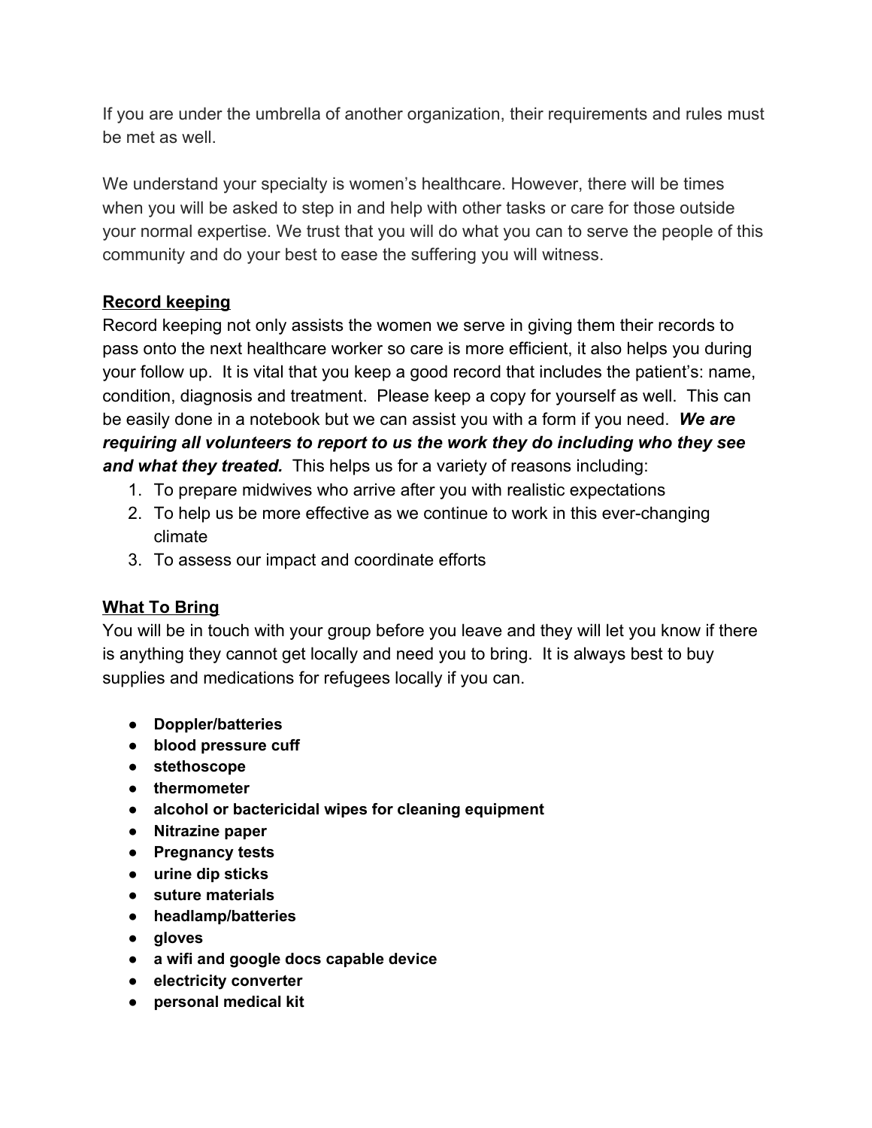If you are under the umbrella of another organization, their requirements and rules must be met as well.

We understand your specialty is women's healthcare. However, there will be times when you will be asked to step in and help with other tasks or care for those outside your normal expertise. We trust that you will do what you can to serve the people of this community and do your best to ease the suffering you will witness.

## **Record keeping**

Record keeping not only assists the women we serve in giving them their records to pass onto the next healthcare worker so care is more efficient, it also helps you during your follow up. It is vital that you keep a good record that includes the patient's: name, condition, diagnosis and treatment. Please keep a copy for yourself as well. This can be easily done in a notebook but we can assist you with a form if you need. *We are requiring all volunteers to report to us the work they do including who they see and what they treated.* This helps us for a variety of reasons including:

- 1. To prepare midwives who arrive after you with realistic expectations
- 2. To help us be more effective as we continue to work in this ever-changing climate
- 3. To assess our impact and coordinate efforts

## **What To Bring**

You will be in touch with your group before you leave and they will let you know if there is anything they cannot get locally and need you to bring. It is always best to buy supplies and medications for refugees locally if you can.

- **● Doppler/batteries**
- **● blood pressure cuff**
- **● stethoscope**
- **● thermometer**
- **● alcohol or bactericidal wipes for cleaning equipment**
- **● Nitrazine paper**
- **● Pregnancy tests**
- **● urine dip sticks**
- **● suture materials**
- **● headlamp/batteries**
- **● gloves**
- **● a wifi and google docs capable device**
- **● electricity converter**
- **● personal medical kit**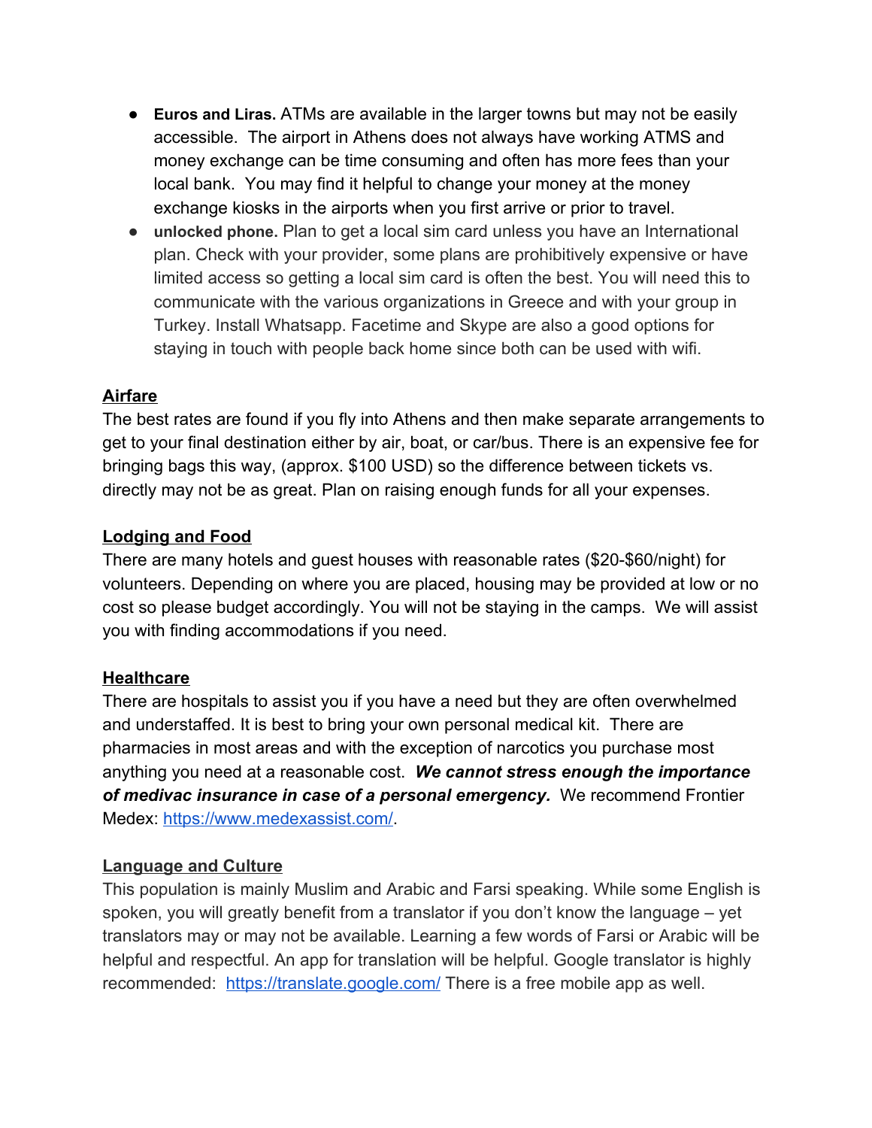- **● Euros and Liras.** ATMs are available in the larger towns but may not be easily accessible. The airport in Athens does not always have working ATMS and money exchange can be time consuming and often has more fees than your local bank. You may find it helpful to change your money at the money exchange kiosks in the airports when you first arrive or prior to travel.
- **● unlocked phone.** Plan to get a local sim card unless you have an International plan. Check with your provider, some plans are prohibitively expensive or have limited access so getting a local sim card is often the best. You will need this to communicate with the various organizations in Greece and with your group in Turkey. Install Whatsapp. Facetime and Skype are also a good options for staying in touch with people back home since both can be used with wifi.

### **Airfare**

The best rates are found if you fly into Athens and then make separate arrangements to get to your final destination either by air, boat, or car/bus. There is an expensive fee for bringing bags this way, (approx. \$100 USD) so the difference between tickets vs. directly may not be as great. Plan on raising enough funds for all your expenses.

#### **Lodging and Food**

There are many hotels and guest houses with reasonable rates (\$20-\$60/night) for volunteers. Depending on where you are placed, housing may be provided at low or no cost so please budget accordingly. You will not be staying in the camps. We will assist you with finding accommodations if you need.

#### **Healthcare**

There are hospitals to assist you if you have a need but they are often overwhelmed and understaffed. It is best to bring your own personal medical kit. There are pharmacies in most areas and with the exception of narcotics you purchase most anything you need at a reasonable cost. *We cannot stress enough the importance of medivac insurance in case of a personal emergency.* We recommend Frontier Medex: [https://www.medexassist.com/.](https://www.medexassist.com/)

#### **Language and Culture**

This population is mainly Muslim and Arabic and Farsi speaking. While some English is spoken, you will greatly benefit from a translator if you don't know the language – yet translators may or may not be available. Learning a few words of Farsi or Arabic will be helpful and respectful. An app for translation will be helpful. Google translator is highly recommended: <https://translate.google.com/>There is a free mobile app as well.